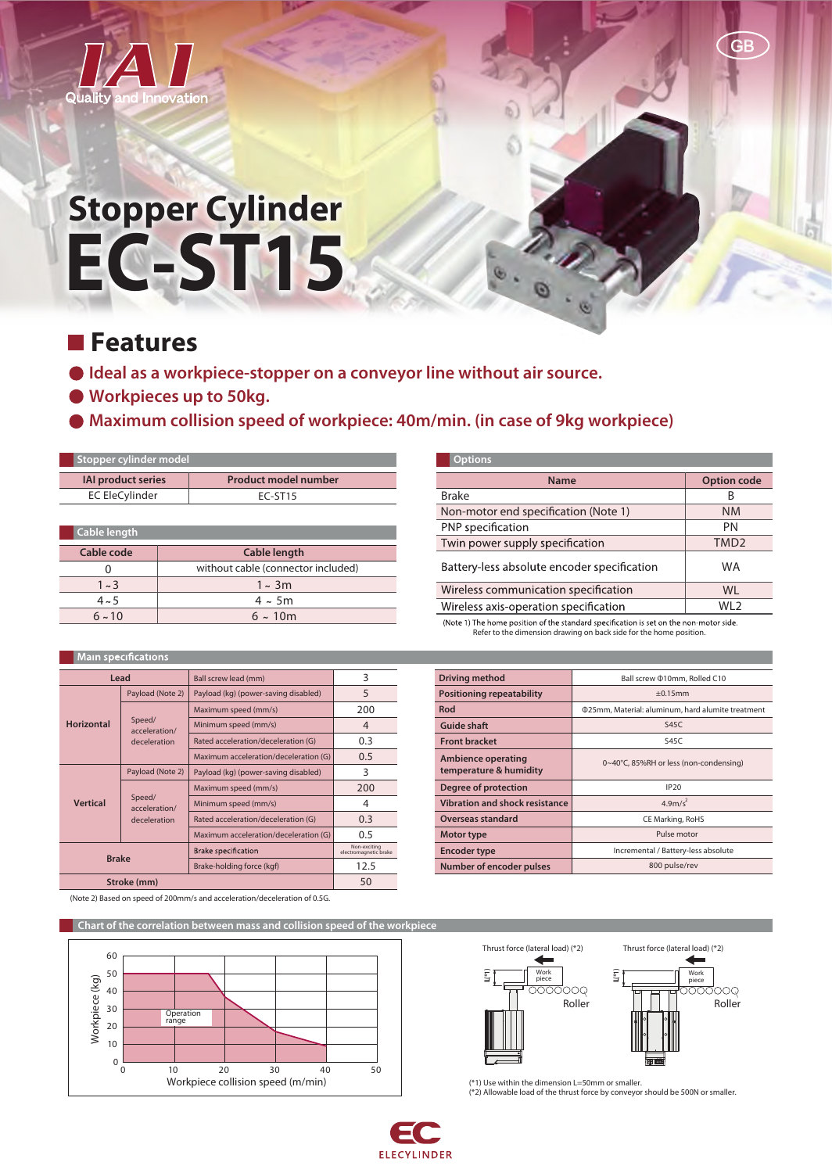

# **EC-ST15 Stopper Cylinder**

# **Features**

**Horiz** 

**Ver** 

- **Ideal as a workpiece-stopper on a conveyor line without air source.**
- **Workpieces up to 50kg.**
- **Maximum collision speed of workpiece: 40m/min. (in case of 9kg workpiece)**

| Stopper cylinder model    |                     |                                    |  |  |
|---------------------------|---------------------|------------------------------------|--|--|
| <b>IAI product series</b> |                     | <b>Product model number</b>        |  |  |
| <b>EC EleCylinder</b>     |                     | EC-ST15                            |  |  |
|                           |                     |                                    |  |  |
| Cable length              |                     |                                    |  |  |
| Cable code                | <b>Cable length</b> |                                    |  |  |
| 0                         |                     | without cable (connector included) |  |  |
| $1 \sim 3$                |                     | $1 - 3m$                           |  |  |
| $4 - 5$                   |                     | $4 \sim 5m$                        |  |  |
| 6.10                      |                     | 6.10m                              |  |  |

| $4 \sim 5$   |                                         | 4 ~ JIII                              |                                      |                                       | ν  |
|--------------|-----------------------------------------|---------------------------------------|--------------------------------------|---------------------------------------|----|
| $6 - 10$     |                                         | $6 - 10m$                             |                                      |                                       |    |
|              |                                         |                                       |                                      |                                       |    |
|              | in specifications                       |                                       |                                      |                                       |    |
| Lead         |                                         |                                       | Ball screw lead (mm)                 | 3                                     | D  |
| ontal        | Payload (Note 2)                        |                                       | Payload (kg) (power-saving disabled) | 5                                     | P  |
|              | Speed/<br>acceleration/<br>deceleration | Maximum speed (mm/s)                  | 200                                  | R                                     |    |
|              |                                         | Minimum speed (mm/s)                  | $\overline{4}$                       | G                                     |    |
|              |                                         | Rated acceleration/deceleration (G)   | 0.3                                  | F                                     |    |
|              |                                         | Maximum acceleration/deceleration (G) | 0.5                                  | $\overline{A}$                        |    |
|              | Payload (Note 2)                        |                                       | Payload (kg) (power-saving disabled) | 3                                     | t. |
| tical        | Speed/<br>acceleration/<br>deceleration | Maximum speed (mm/s)                  | 200                                  | D                                     |    |
|              |                                         | Minimum speed (mm/s)                  | 4                                    | $\mathsf{V}$                          |    |
|              |                                         | Rated acceleration/deceleration (G)   | 0.3                                  | $\overline{C}$                        |    |
|              |                                         | Maximum acceleration/deceleration (G) | 0.5                                  | $\mathsf{N}$                          |    |
| <b>Brake</b> |                                         |                                       | <b>Brake specification</b>           | Non-exciting<br>electromagnetic brake | E  |
|              |                                         |                                       | Brake-holding force (kgf)            | 12.5                                  | N  |
| Stroke (mm)  |                                         |                                       | 50                                   |                                       |    |

|  | (Note 2) Based on speed of 200mm/s and acceleration/deceleration of 0.5G. |  |
|--|---------------------------------------------------------------------------|--|

Chart of the correlation between mass and collision speed of the workpi 60 50 Workpiece (kg) Workpiece (kg) 40 30 Operation range 20 10  $0\frac{L}{0}$ 0 10 20 30 40 50 Workpiece collision speed (m/min)



GB

.<br>Note 1) The home position of the standard specification is set on the non-motor side. Refer to the dimension drawing on back side for the home position.

| <b>Driving method</b>                               | Ball screw @10mm, Rolled C10                             |
|-----------------------------------------------------|----------------------------------------------------------|
| <b>Positioning repeatability</b>                    | $+0.15$ mm                                               |
| Rod                                                 | <b>025mm, Material: aluminum, hard alumite treatment</b> |
| Guide shaft                                         | S45C                                                     |
| <b>Front bracket</b>                                | S45C                                                     |
| <b>Ambience operating</b><br>temperature & humidity | 0~40°C, 85%RH or less (non-condensing)                   |
| Degree of protection                                | IP20                                                     |
| <b>Vibration and shock resistance</b>               | 4.9m/s <sup>2</sup>                                      |
| <b>Overseas standard</b>                            | CE Marking, RoHS                                         |
| Motor type                                          | Pulse motor                                              |
| <b>Encoder type</b>                                 | Incremental / Battery-less absolute                      |
| Number of encoder pulses                            | 800 pulse/rev                                            |



(\*1) Use within the dimension L=50mm or smaller. (\*2) Allowable load of the thrust force by conveyor should be 500N or smaller.